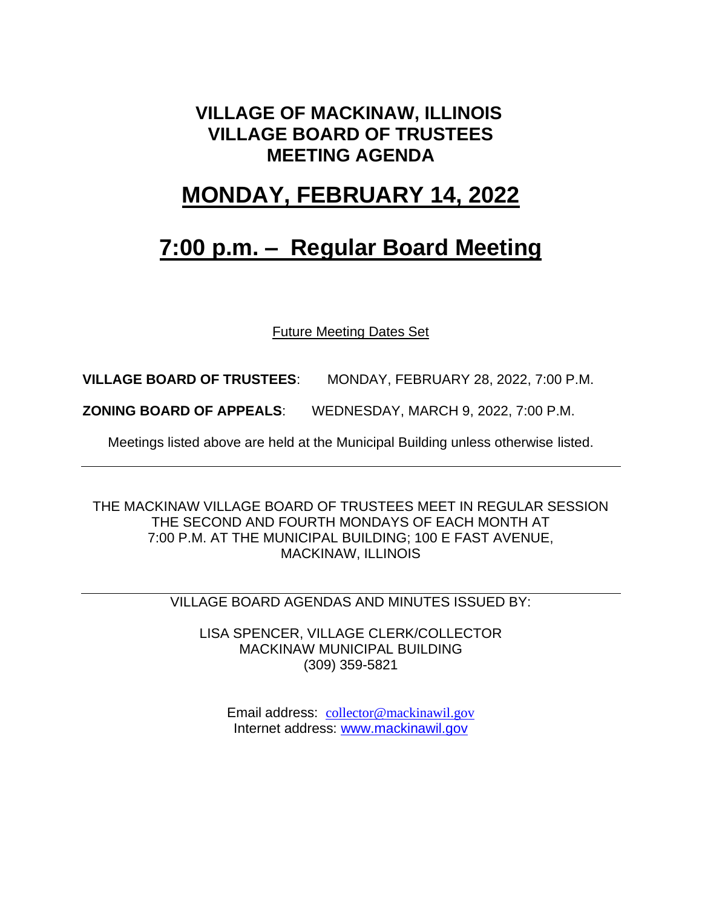### **VILLAGE OF MACKINAW, ILLINOIS VILLAGE BOARD OF TRUSTEES MEETING AGENDA**

### **MONDAY, FEBRUARY 14, 2022**

## **7:00 p.m. – Regular Board Meeting**

Future Meeting Dates Set

**VILLAGE BOARD OF TRUSTEES**: MONDAY, FEBRUARY 28, 2022, 7:00 P.M.

**ZONING BOARD OF APPEALS**: WEDNESDAY, MARCH 9, 2022, 7:00 P.M.

Meetings listed above are held at the Municipal Building unless otherwise listed.

THE MACKINAW VILLAGE BOARD OF TRUSTEES MEET IN REGULAR SESSION THE SECOND AND FOURTH MONDAYS OF EACH MONTH AT 7:00 P.M. AT THE MUNICIPAL BUILDING; 100 E FAST AVENUE, MACKINAW, ILLINOIS

VILLAGE BOARD AGENDAS AND MINUTES ISSUED BY:

LISA SPENCER, VILLAGE CLERK/COLLECTOR MACKINAW MUNICIPAL BUILDING (309) 359-5821

Email address: [collector@mackinawil.gov](mailto:collector@mackinawil.gov) Internet address: [www.mackinawil.gov](http://www.mackinawil.gov/)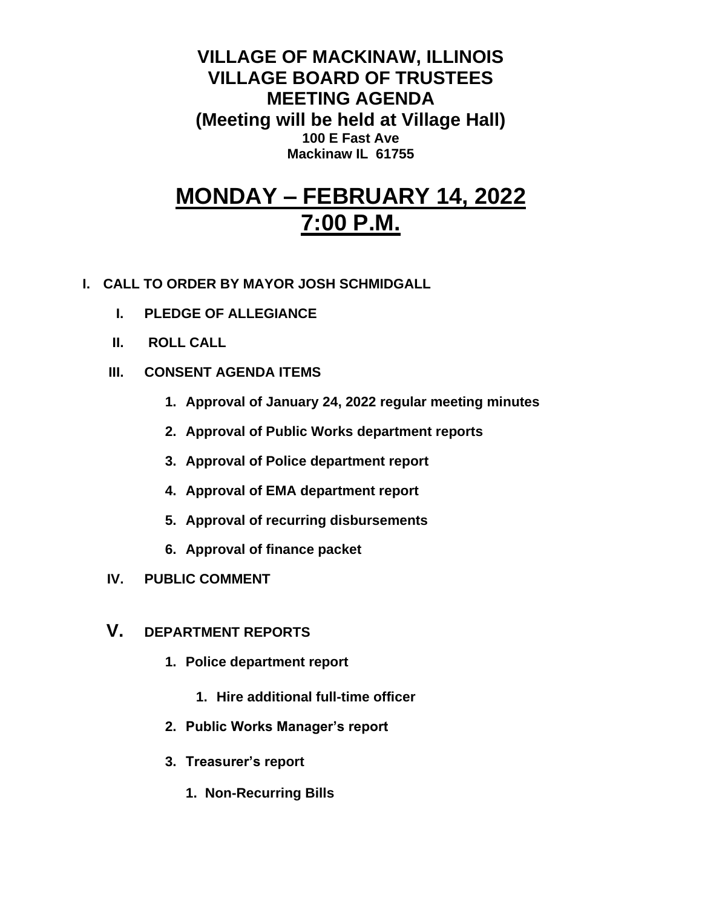**VILLAGE OF MACKINAW, ILLINOIS VILLAGE BOARD OF TRUSTEES MEETING AGENDA (Meeting will be held at Village Hall) 100 E Fast Ave Mackinaw IL 61755**

# **MONDAY – FEBRUARY 14, 2022 7:00 P.M.**

- **I. CALL TO ORDER BY MAYOR JOSH SCHMIDGALL**
	- **I. PLEDGE OF ALLEGIANCE**
	- **II. ROLL CALL**
	- **III. CONSENT AGENDA ITEMS** 
		- **1. Approval of January 24, 2022 regular meeting minutes**
		- **2. Approval of Public Works department reports**
		- **3. Approval of Police department report**
		- **4. Approval of EMA department report**
		- **5. Approval of recurring disbursements**
		- **6. Approval of finance packet**
	- **IV. PUBLIC COMMENT**
	- **V. DEPARTMENT REPORTS** 
		- **1. Police department report**
			- **1. Hire additional full-time officer**
		- **2. Public Works Manager's report**
		- **3. Treasurer's report** 
			- **1. Non-Recurring Bills**